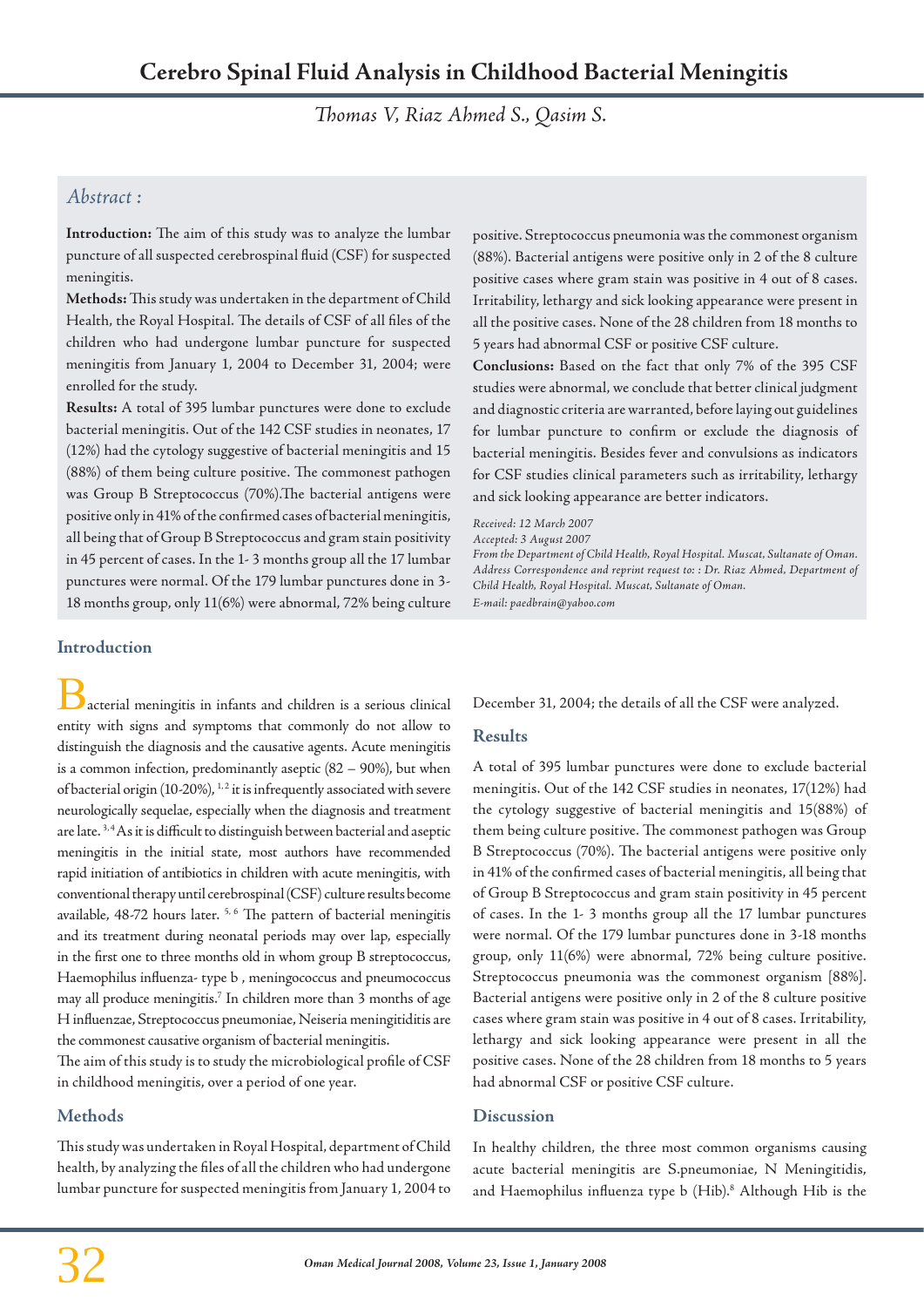*Thomas V, Riaz Ahmed S., Qasim S.*

# *Abstract :*

**Introduction:** The aim of this study was to analyze the lumbar puncture of all suspected cerebrospinal fluid (CSF) for suspected meningitis.

**Methods:** This study was undertaken in the department of Child Health, the Royal Hospital. The details of CSF of all files of the children who had undergone lumbar puncture for suspected meningitis from January 1, 2004 to December 31, 2004; were enrolled for the study.

**Results:** A total of 395 lumbar punctures were done to exclude bacterial meningitis. Out of the 142 CSF studies in neonates, 17 (12%) had the cytology suggestive of bacterial meningitis and 15 (88%) of them being culture positive. The commonest pathogen was Group B Streptococcus (70%).The bacterial antigens were positive only in 41% of the confirmed cases of bacterial meningitis, all being that of Group B Streptococcus and gram stain positivity in 45 percent of cases. In the 1- 3 months group all the 17 lumbar punctures were normal. Of the 179 lumbar punctures done in 3- 18 months group, only 11(6%) were abnormal, 72% being culture

## **Introduction**

acterial meningitis in infants and children is a serious clinical entity with signs and symptoms that commonly do not allow to distinguish the diagnosis and the causative agents. Acute meningitis is a common infection, predominantly aseptic (82 – 90%), but when of bacterial origin (10-20%),  $^{1,2}$  it is infrequently associated with severe neurologically sequelae, especially when the diagnosis and treatment are late.<sup>3,4</sup> As it is difficult to distinguish between bacterial and aseptic meningitis in the initial state, most authors have recommended rapid initiation of antibiotics in children with acute meningitis, with conventional therapy until cerebrospinal (CSF) culture results become available, 48-72 hours later.<sup>5, 6</sup> The pattern of bacterial meningitis and its treatment during neonatal periods may over lap, especially in the first one to three months old in whom group B streptococcus, Haemophilus influenza- type b , meningococcus and pneumococcus may all produce meningitis.7 In children more than 3 months of age H influenzae, Streptococcus pneumoniae, Neiseria meningitiditis are the commonest causative organism of bacterial meningitis.

The aim of this study is to study the microbiological profile of CSF in childhood meningitis, over a period of one year.

# **Methods**

This study was undertaken in Royal Hospital, department of Child health, by analyzing the files of all the children who had undergone lumbar puncture for suspected meningitis from January 1, 2004 to positive. Streptococcus pneumonia was the commonest organism (88%). Bacterial antigens were positive only in 2 of the 8 culture positive cases where gram stain was positive in 4 out of 8 cases. Irritability, lethargy and sick looking appearance were present in all the positive cases. None of the 28 children from 18 months to 5 years had abnormal CSF or positive CSF culture.

**Conclusions:** Based on the fact that only 7% of the 395 CSF studies were abnormal, we conclude that better clinical judgment and diagnostic criteria are warranted, before laying out guidelines for lumbar puncture to confirm or exclude the diagnosis of bacterial meningitis. Besides fever and convulsions as indicators for CSF studies clinical parameters such as irritability, lethargy and sick looking appearance are better indicators.

*Received: 12 March 2007*

*Accepted: 3 August 2007*

*From the Department of Child Health, Royal Hospital. Muscat, Sultanate of Oman. Address Correspondence and reprint request to: : Dr. Riaz Ahmed, Department of Child Health, Royal Hospital. Muscat, Sultanate of Oman. E-mail: paedbrain@yahoo.com*

December 31, 2004; the details of all the CSF were analyzed.

## **Results**

A total of 395 lumbar punctures were done to exclude bacterial meningitis. Out of the 142 CSF studies in neonates, 17(12%) had the cytology suggestive of bacterial meningitis and 15(88%) of them being culture positive. The commonest pathogen was Group B Streptococcus (70%). The bacterial antigens were positive only in 41% of the confirmed cases of bacterial meningitis, all being that of Group B Streptococcus and gram stain positivity in 45 percent of cases. In the 1- 3 months group all the 17 lumbar punctures were normal. Of the 179 lumbar punctures done in 3-18 months group, only 11(6%) were abnormal, 72% being culture positive. Streptococcus pneumonia was the commonest organism [88%]. Bacterial antigens were positive only in 2 of the 8 culture positive cases where gram stain was positive in 4 out of 8 cases. Irritability, lethargy and sick looking appearance were present in all the positive cases. None of the 28 children from 18 months to 5 years had abnormal CSF or positive CSF culture.

## **Discussion**

In healthy children, the three most common organisms causing acute bacterial meningitis are S.pneumoniae, N Meningitidis, and Haemophilus influenza type b (Hib).<sup>8</sup> Although Hib is the